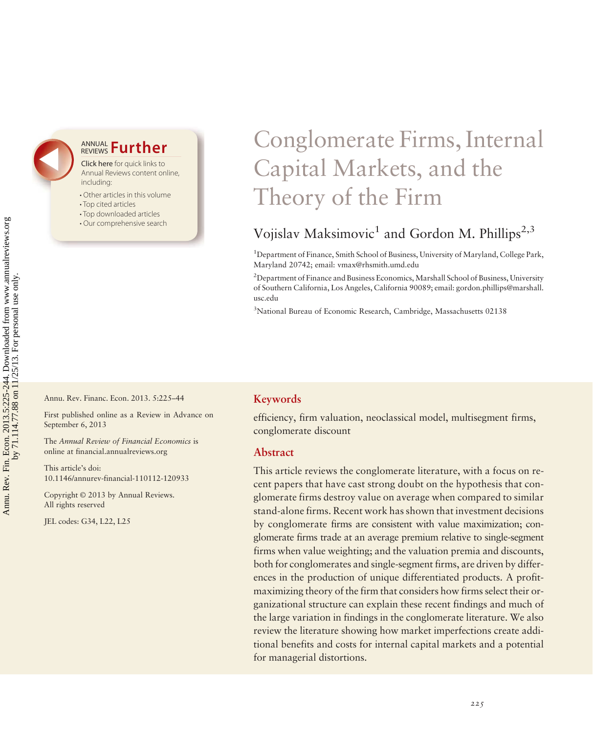## **ANNUAL Further**

Click here for quick links to Annual Reviews content online, including:

- Other articles in this volume
- Top cited articles
- Top downloaded articles
- Our comprehensive search

# Conglomerate Firms, Internal Capital Markets, and the Theory of the Firm

### Vojislav Maksimovic<sup>1</sup> and Gordon M. Phillips<sup>2,3</sup>

<sup>1</sup>Department of Finance, Smith School of Business, University of Maryland, College Park, Maryland 20742; email: [vmax@rhsmith.umd.edu](mailto:vmax@rhsmith.umd.edu)

<sup>2</sup>Department of Finance and Business Economics, Marshall School of Business, University of Southern California, Los Angeles, California 90089; email: [gordon.phillips@marshall.](mailto:gordon.phillips@marshall.usc.edu) [usc.edu](mailto:gordon.phillips@marshall.usc.edu)

3 National Bureau of Economic Research, Cambridge, Massachusetts 02138

Annu. Rev. Financ. Econ. 2013. 5:225–44

First published online as a Review in Advance on September 6, 2013

The Annual Review of Financial Economics is online at<financial.annualreviews.org>

This article's doi: 10.1146/annurev-financial-110112-120933

Copyright © 2013 by Annual Reviews. All rights reserved

JEL codes: G34, L22, L25

#### Keywords

efficiency, firm valuation, neoclassical model, multisegment firms, conglomerate discount

#### Abstract

This article reviews the conglomerate literature, with a focus on recent papers that have cast strong doubt on the hypothesis that conglomerate firms destroy value on average when compared to similar stand-alone firms. Recent work has shown that investment decisions by conglomerate firms are consistent with value maximization; conglomerate firms trade at an average premium relative to single-segment firms when value weighting; and the valuation premia and discounts, both for conglomerates and single-segment firms, are driven by differences in the production of unique differentiated products. A profitmaximizing theory of the firm that considers how firms select their organizational structure can explain these recent findings and much of the large variation in findings in the conglomerate literature. We also review the literature showing how market imperfections create additional benefits and costs for internal capital markets and a potential for managerial distortions.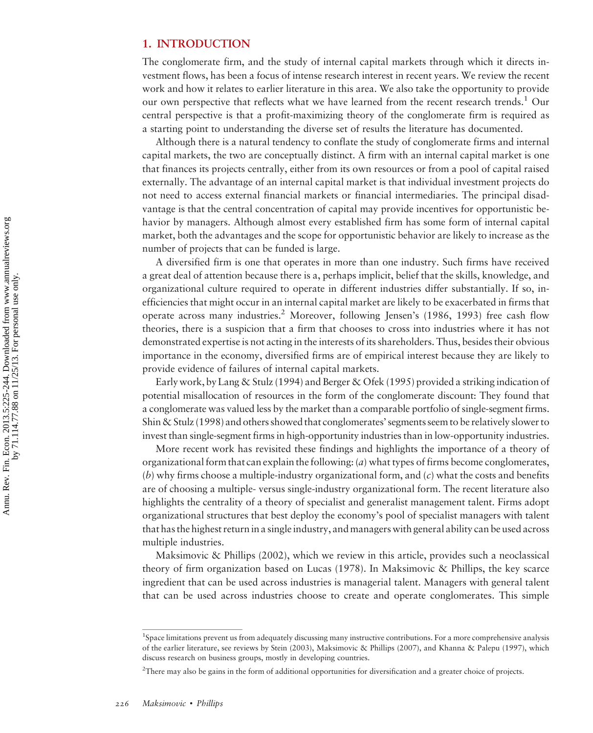#### 1. INTRODUCTION

The conglomerate firm, and the study of internal capital markets through which it directs investment flows, has been a focus of intense research interest in recent years. We review the recent work and how it relates to earlier literature in this area. We also take the opportunity to provide our own perspective that reflects what we have learned from the recent research trends.<sup>1</sup> Our central perspective is that a profit-maximizing theory of the conglomerate firm is required as a starting point to understanding the diverse set of results the literature has documented.

Although there is a natural tendency to conflate the study of conglomerate firms and internal capital markets, the two are conceptually distinct. A firm with an internal capital market is one that finances its projects centrally, either from its own resources or from a pool of capital raised externally. The advantage of an internal capital market is that individual investment projects do not need to access external financial markets or financial intermediaries. The principal disadvantage is that the central concentration of capital may provide incentives for opportunistic behavior by managers. Although almost every established firm has some form of internal capital market, both the advantages and the scope for opportunistic behavior are likely to increase as the number of projects that can be funded is large.

A diversified firm is one that operates in more than one industry. Such firms have received a great deal of attention because there is a, perhaps implicit, belief that the skills, knowledge, and organizational culture required to operate in different industries differ substantially. If so, inefficiencies that might occur in an internal capital market are likely to be exacerbated in firms that operate across many industries.<sup>2</sup> Moreover, following Jensen's (1986, 1993) free cash flow theories, there is a suspicion that a firm that chooses to cross into industries where it has not demonstrated expertise is not acting in the interests of its shareholders. Thus, besides their obvious importance in the economy, diversified firms are of empirical interest because they are likely to provide evidence of failures of internal capital markets.

Early work, by Lang & Stulz (1994) and Berger & Ofek (1995) provided a striking indication of potential misallocation of resources in the form of the conglomerate discount: They found that a conglomerate was valued less by the market than a comparable portfolio of single-segment firms. Shin& Stulz (1998) and others showed that conglomerates'segments seem to be relatively slower to invest than single-segment firms in high-opportunity industries than in low-opportunity industries.

More recent work has revisited these findings and highlights the importance of a theory of organizational form that can explain the following:  $(a)$  what types of firms become conglomerates,  $(b)$  why firms choose a multiple-industry organizational form, and  $(c)$  what the costs and benefits are of choosing a multiple- versus single-industry organizational form. The recent literature also highlights the centrality of a theory of specialist and generalist management talent. Firms adopt organizational structures that best deploy the economy's pool of specialist managers with talent that has the highest return in a single industry, and managers with general ability can be used across multiple industries.

Maksimovic & Phillips (2002), which we review in this article, provides such a neoclassical theory of firm organization based on Lucas (1978). In Maksimovic & Phillips, the key scarce ingredient that can be used across industries is managerial talent. Managers with general talent that can be used across industries choose to create and operate conglomerates. This simple

<sup>1</sup> Space limitations prevent us from adequately discussing many instructive contributions. For a more comprehensive analysis of the earlier literature, see reviews by Stein (2003), Maksimovic & Phillips (2007), and Khanna & Palepu (1997), which discuss research on business groups, mostly in developing countries.

<sup>2</sup> There may also be gains in the form of additional opportunities for diversification and a greater choice of projects.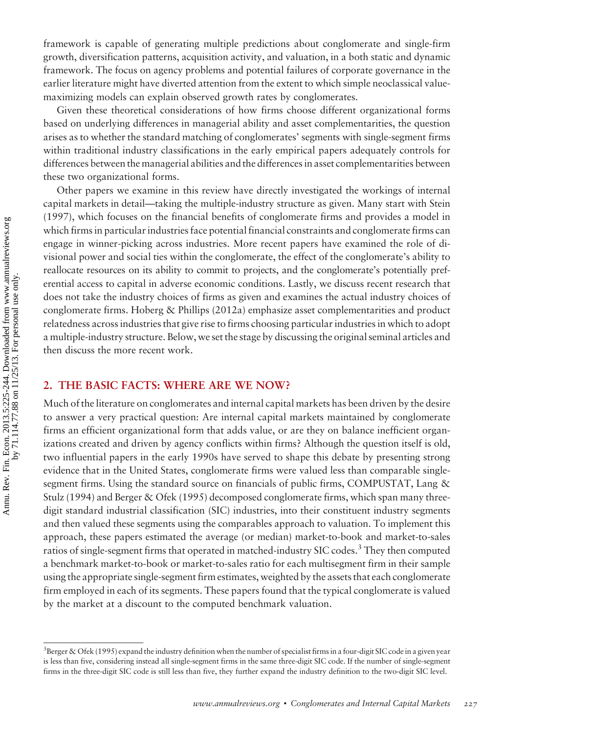framework is capable of generating multiple predictions about conglomerate and single-firm growth, diversification patterns, acquisition activity, and valuation, in a both static and dynamic framework. The focus on agency problems and potential failures of corporate governance in the earlier literature might have diverted attention from the extent to which simple neoclassical valuemaximizing models can explain observed growth rates by conglomerates.

Given these theoretical considerations of how firms choose different organizational forms based on underlying differences in managerial ability and asset complementarities, the question arises as to whether the standard matching of conglomerates' segments with single-segment firms within traditional industry classifications in the early empirical papers adequately controls for differences between the managerial abilities and the differences in asset complementarities between these two organizational forms.

Other papers we examine in this review have directly investigated the workings of internal capital markets in detail—taking the multiple-industry structure as given. Many start with Stein (1997), which focuses on the financial benefits of conglomerate firms and provides a model in which firms in particular industries face potential financial constraints and conglomerate firms can engage in winner-picking across industries. More recent papers have examined the role of divisional power and social ties within the conglomerate, the effect of the conglomerate's ability to reallocate resources on its ability to commit to projects, and the conglomerate's potentially preferential access to capital in adverse economic conditions. Lastly, we discuss recent research that does not take the industry choices of firms as given and examines the actual industry choices of conglomerate firms. Hoberg & Phillips (2012a) emphasize asset complementarities and product relatedness across industries that give rise to firms choosing particular industries in which to adopt a multiple-industry structure. Below, we set the stage by discussing the original seminal articles and then discuss the more recent work.

#### 2. THE BASIC FACTS: WHERE ARE WE NOW?

Much of the literature on conglomerates and internal capital markets has been driven by the desire to answer a very practical question: Are internal capital markets maintained by conglomerate firms an efficient organizational form that adds value, or are they on balance inefficient organizations created and driven by agency conflicts within firms? Although the question itself is old, two influential papers in the early 1990s have served to shape this debate by presenting strong evidence that in the United States, conglomerate firms were valued less than comparable singlesegment firms. Using the standard source on financials of public firms, COMPUSTAT, Lang & Stulz (1994) and Berger & Ofek (1995) decomposed conglomerate firms, which span many threedigit standard industrial classification (SIC) industries, into their constituent industry segments and then valued these segments using the comparables approach to valuation. To implement this approach, these papers estimated the average (or median) market-to-book and market-to-sales ratios of single-segment firms that operated in matched-industry SIC codes.<sup>3</sup> They then computed a benchmark market-to-book or market-to-sales ratio for each multisegment firm in their sample using the appropriate single-segment firm estimates, weighted by the assets that each conglomerate firm employed in each of its segments. These papers found that the typical conglomerate is valued by the market at a discount to the computed benchmark valuation.

<sup>&</sup>lt;sup>3</sup>Berger & Ofek (1995) expand the industry definition when the number of specialist firms in a four-digit SIC code in a given year is less than five, considering instead all single-segment firms in the same three-digit SIC code. If the number of single-segment firms in the three-digit SIC code is still less than five, they further expand the industry definition to the two-digit SIC level.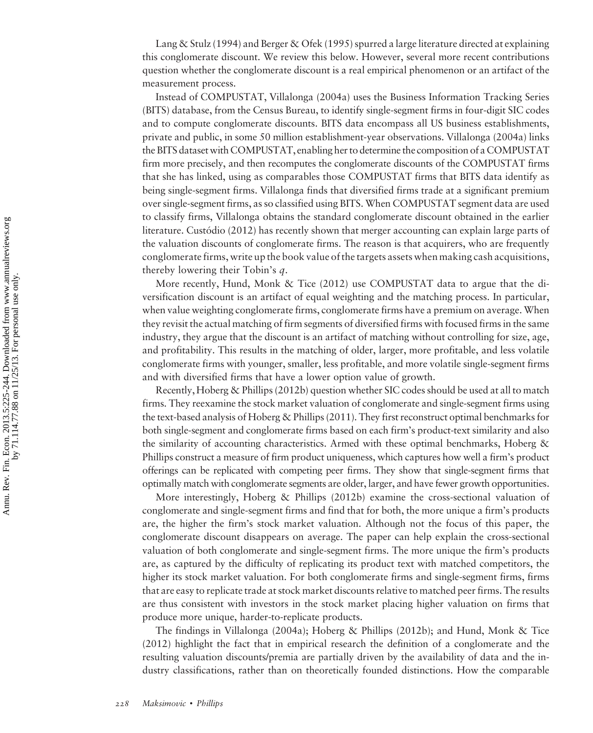Lang & Stulz (1994) and Berger & Ofek (1995) spurred a large literature directed at explaining this conglomerate discount. We review this below. However, several more recent contributions question whether the conglomerate discount is a real empirical phenomenon or an artifact of the measurement process.

Instead of COMPUSTAT, Villalonga (2004a) uses the Business Information Tracking Series (BITS) database, from the Census Bureau, to identify single-segment firms in four-digit SIC codes and to compute conglomerate discounts. BITS data encompass all US business establishments, private and public, in some 50 million establishment-year observations. Villalonga (2004a) links the BITS dataset with COMPUSTAT, enabling her to determine the composition of a COMPUSTAT firm more precisely, and then recomputes the conglomerate discounts of the COMPUSTAT firms that she has linked, using as comparables those COMPUSTAT firms that BITS data identify as being single-segment firms. Villalonga finds that diversified firms trade at a significant premium over single-segment firms, as so classified using BITS. When COMPUSTAT segment data are used to classify firms, Villalonga obtains the standard conglomerate discount obtained in the earlier literature. Custódio (2012) has recently shown that merger accounting can explain large parts of the valuation discounts of conglomerate firms. The reason is that acquirers, who are frequently conglomerate firms, write up the book value of the targets assets when making cash acquisitions, thereby lowering their Tobin's q.

More recently, Hund, Monk & Tice (2012) use COMPUSTAT data to argue that the diversification discount is an artifact of equal weighting and the matching process. In particular, when value weighting conglomerate firms, conglomerate firms have a premium on average. When they revisit the actual matching of firm segments of diversified firms with focused firms in the same industry, they argue that the discount is an artifact of matching without controlling for size, age, and profitability. This results in the matching of older, larger, more profitable, and less volatile conglomerate firms with younger, smaller, less profitable, and more volatile single-segment firms and with diversified firms that have a lower option value of growth.

Recently, Hoberg & Phillips (2012b) question whether SIC codes should be used at all to match firms. They reexamine the stock market valuation of conglomerate and single-segment firms using the text-based analysis of Hoberg & Phillips (2011). They first reconstruct optimal benchmarks for both single-segment and conglomerate firms based on each firm's product-text similarity and also the similarity of accounting characteristics. Armed with these optimal benchmarks, Hoberg & Phillips construct a measure of firm product uniqueness, which captures how well a firm's product offerings can be replicated with competing peer firms. They show that single-segment firms that optimally match with conglomerate segments are older, larger, and have fewer growth opportunities.

More interestingly, Hoberg & Phillips (2012b) examine the cross-sectional valuation of conglomerate and single-segment firms and find that for both, the more unique a firm's products are, the higher the firm's stock market valuation. Although not the focus of this paper, the conglomerate discount disappears on average. The paper can help explain the cross-sectional valuation of both conglomerate and single-segment firms. The more unique the firm's products are, as captured by the difficulty of replicating its product text with matched competitors, the higher its stock market valuation. For both conglomerate firms and single-segment firms, firms that are easy to replicate trade at stock market discounts relative to matched peer firms. The results are thus consistent with investors in the stock market placing higher valuation on firms that produce more unique, harder-to-replicate products.

The findings in Villalonga (2004a); Hoberg & Phillips (2012b); and Hund, Monk & Tice (2012) highlight the fact that in empirical research the definition of a conglomerate and the resulting valuation discounts/premia are partially driven by the availability of data and the industry classifications, rather than on theoretically founded distinctions. How the comparable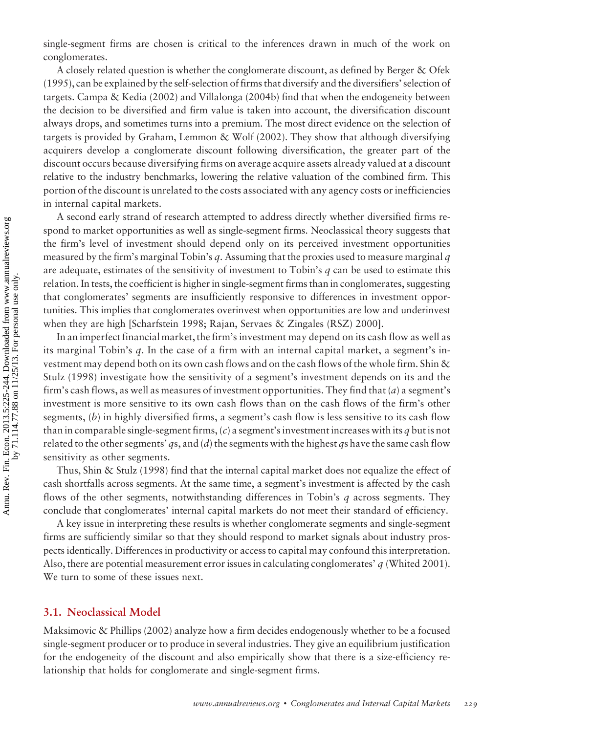single-segment firms are chosen is critical to the inferences drawn in much of the work on conglomerates.

A closely related question is whether the conglomerate discount, as defined by Berger & Ofek (1995), can be explained by the self-selection of firms that diversify and the diversifiers'selection of targets. Campa & Kedia (2002) and Villalonga (2004b) find that when the endogeneity between the decision to be diversified and firm value is taken into account, the diversification discount always drops, and sometimes turns into a premium. The most direct evidence on the selection of targets is provided by Graham, Lemmon & Wolf (2002). They show that although diversifying acquirers develop a conglomerate discount following diversification, the greater part of the discount occurs because diversifying firms on average acquire assets already valued at a discount relative to the industry benchmarks, lowering the relative valuation of the combined firm. This portion of the discount is unrelated to the costs associated with any agency costs or inefficiencies in internal capital markets.

A second early strand of research attempted to address directly whether diversified firms respond to market opportunities as well as single-segment firms. Neoclassical theory suggests that the firm's level of investment should depend only on its perceived investment opportunities measured by the firm's marginal Tobin's q. Assuming that the proxies used to measure marginal  $q$ are adequate, estimates of the sensitivity of investment to Tobin's  $q$  can be used to estimate this relation. In tests, the coefficient is higher in single-segment firms than in conglomerates, suggesting that conglomerates' segments are insufficiently responsive to differences in investment opportunities. This implies that conglomerates overinvest when opportunities are low and underinvest when they are high [Scharfstein 1998; Rajan, Servaes & Zingales (RSZ) 2000].

In an imperfect financial market, the firm's investment may depend on its cash flow as well as its marginal Tobin's  $q$ . In the case of a firm with an internal capital market, a segment's investment may depend both on its own cash flows and on the cash flows of the whole firm. Shin & Stulz (1998) investigate how the sensitivity of a segment's investment depends on its and the firm's cash flows, as well as measures of investment opportunities. They find that  $(a)$  a segment's investment is more sensitive to its own cash flows than on the cash flows of the firm's other segments,  $(b)$  in highly diversified firms, a segment's cash flow is less sensitive to its cash flow than in comparable single-segment firms, (c) a segment's investment increases with its q but is not related to the other segments' qs, and (d) the segments with the highest qs have the same cash flow sensitivity as other segments.

Thus, Shin & Stulz (1998) find that the internal capital market does not equalize the effect of cash shortfalls across segments. At the same time, a segment's investment is affected by the cash flows of the other segments, notwithstanding differences in Tobin's q across segments. They conclude that conglomerates' internal capital markets do not meet their standard of efficiency.

A key issue in interpreting these results is whether conglomerate segments and single-segment firms are sufficiently similar so that they should respond to market signals about industry prospects identically. Differences in productivity or access to capital may confound this interpretation. Also, there are potential measurement error issues in calculating conglomerates'  $q$  (Whited 2001). We turn to some of these issues next.

#### 3.1. Neoclassical Model

Maksimovic & Phillips (2002) analyze how a firm decides endogenously whether to be a focused single-segment producer or to produce in several industries. They give an equilibrium justification for the endogeneity of the discount and also empirically show that there is a size-efficiency relationship that holds for conglomerate and single-segment firms.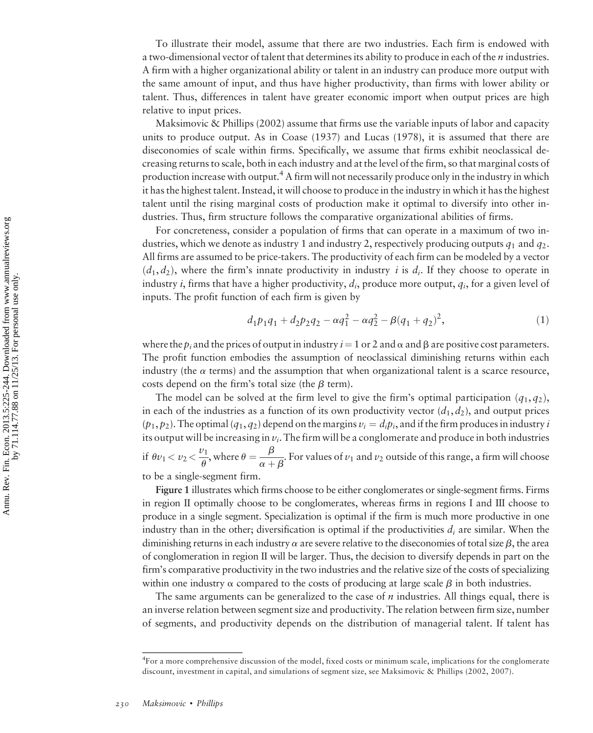To illustrate their model, assume that there are two industries. Each firm is endowed with a two-dimensional vector of talent that determines its ability to produce in each of the  $n$  industries. A firm with a higher organizational ability or talent in an industry can produce more output with the same amount of input, and thus have higher productivity, than firms with lower ability or talent. Thus, differences in talent have greater economic import when output prices are high relative to input prices.

Maksimovic & Phillips (2002) assume that firms use the variable inputs of labor and capacity units to produce output. As in Coase (1937) and Lucas (1978), it is assumed that there are diseconomies of scale within firms. Specifically, we assume that firms exhibit neoclassical decreasing returns to scale, both in each industry and at the level of the firm, so that marginal costs of production increase with output.<sup>4</sup> A firm will not necessarily produce only in the industry in which it has the highest talent. Instead, it will choose to produce in the industry in which it has the highest talent until the rising marginal costs of production make it optimal to diversify into other industries. Thus, firm structure follows the comparative organizational abilities of firms.

For concreteness, consider a population of firms that can operate in a maximum of two industries, which we denote as industry 1 and industry 2, respectively producing outputs  $q_1$  and  $q_2$ . All firms are assumed to be price-takers. The productivity of each firm can be modeled by a vector  $(d_1, d_2)$ , where the firm's innate productivity in industry i is  $d_i$ . If they choose to operate in industry i, firms that have a higher productivity,  $d_i$ , produce more output,  $q_i$ , for a given level of inputs. The profit function of each firm is given by

$$
d_1p_1q_1 + d_2p_2q_2 - \alpha q_1^2 - \alpha q_2^2 - \beta (q_1 + q_2)^2, \tag{1}
$$

where the  $p_i$  and the prices of output in industry  $i = 1$  or 2 and  $\alpha$  and  $\beta$  are positive cost parameters. The profit function embodies the assumption of neoclassical diminishing returns within each industry (the  $\alpha$  terms) and the assumption that when organizational talent is a scarce resource, costs depend on the firm's total size (the  $\beta$  term).

The model can be solved at the firm level to give the firm's optimal participation  $(q_1, q_2)$ , in each of the industries as a function of its own productivity vector  $(d_1, d_2)$ , and output prices  $(p_1, p_2)$ . The optimal  $(q_1, q_2)$  depend on the margins  $v_i = d_i p_i$ , and if the firm produces in industry i its output will be increasing in  $v_i$ . The firm will be a conglomerate and produce in both industries if  $\theta v_1 < v_2 < \frac{v_1}{\theta}$ , where  $\theta = \frac{\beta}{\alpha + \beta}$ . For values of  $v_1$  and  $v_2$  outside of this range, a firm will choose to be a single-segment firm.

Figure 1 illustrates which firms choose to be either conglomerates or single-segment firms. Firms in region II optimally choose to be conglomerates, whereas firms in regions I and III choose to produce in a single segment. Specialization is optimal if the firm is much more productive in one industry than in the other; diversification is optimal if the productivities  $d_i$  are similar. When the diminishing returns in each industry  $\alpha$  are severe relative to the diseconomies of total size  $\beta$ , the area of conglomeration in region II will be larger. Thus, the decision to diversify depends in part on the firm's comparative productivity in the two industries and the relative size of the costs of specializing within one industry  $\alpha$  compared to the costs of producing at large scale  $\beta$  in both industries.

The same arguments can be generalized to the case of  $n$  industries. All things equal, there is an inverse relation between segment size and productivity. The relation between firm size, number of segments, and productivity depends on the distribution of managerial talent. If talent has

<sup>4</sup> For a more comprehensive discussion of the model, fixed costs or minimum scale, implications for the conglomerate discount, investment in capital, and simulations of segment size, see Maksimovic & Phillips (2002, 2007).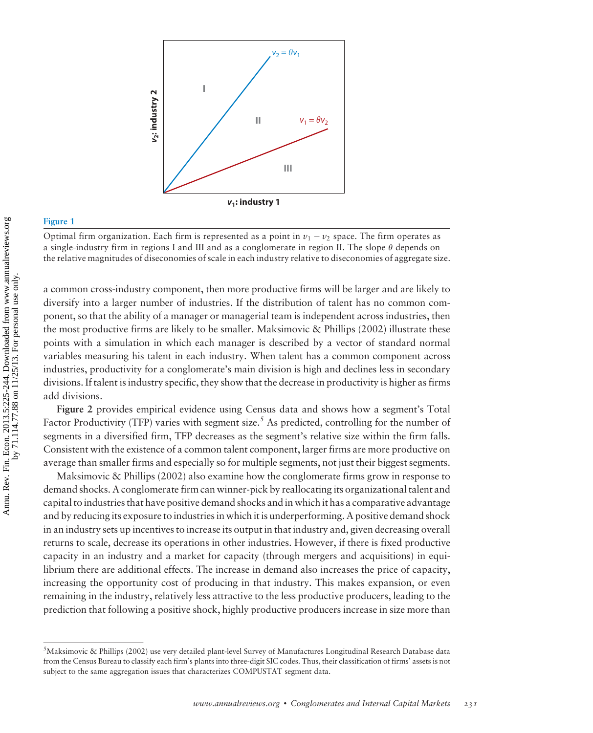

#### Figure 1

Optimal firm organization. Each firm is represented as a point in  $v_1 - v_2$  space. The firm operates as a single-industry firm in regions I and III and as a conglomerate in region II. The slope  $\theta$  depends on the relative magnitudes of diseconomies of scale in each industry relative to diseconomies of aggregate size.

a common cross-industry component, then more productive firms will be larger and are likely to diversify into a larger number of industries. If the distribution of talent has no common component, so that the ability of a manager or managerial team is independent across industries, then the most productive firms are likely to be smaller. Maksimovic & Phillips (2002) illustrate these points with a simulation in which each manager is described by a vector of standard normal variables measuring his talent in each industry. When talent has a common component across industries, productivity for a conglomerate's main division is high and declines less in secondary divisions. If talent is industry specific, they show that the decrease in productivity is higher as firms add divisions.

Figure 2 provides empirical evidence using Census data and shows how a segment's Total Factor Productivity (TFP) varies with segment size.<sup>5</sup> As predicted, controlling for the number of segments in a diversified firm, TFP decreases as the segment's relative size within the firm falls. Consistent with the existence of a common talent component, larger firms are more productive on average than smaller firms and especially so for multiple segments, not just their biggest segments.

Maksimovic & Phillips (2002) also examine how the conglomerate firms grow in response to demand shocks. A conglomerate firm can winner-pick by reallocating its organizational talent and capital to industries that have positive demand shocks and in which it has a comparative advantage and by reducing its exposure to industries in which it is underperforming. A positive demand shock in an industry sets up incentives to increase its output in that industry and, given decreasing overall returns to scale, decrease its operations in other industries. However, if there is fixed productive capacity in an industry and a market for capacity (through mergers and acquisitions) in equilibrium there are additional effects. The increase in demand also increases the price of capacity, increasing the opportunity cost of producing in that industry. This makes expansion, or even remaining in the industry, relatively less attractive to the less productive producers, leading to the prediction that following a positive shock, highly productive producers increase in size more than

<sup>5</sup> Maksimovic & Phillips (2002) use very detailed plant-level Survey of Manufactures Longitudinal Research Database data from the Census Bureau to classify each firm's plants into three-digit SIC codes. Thus, their classification of firms' assets is not subject to the same aggregation issues that characterizes COMPUSTAT segment data.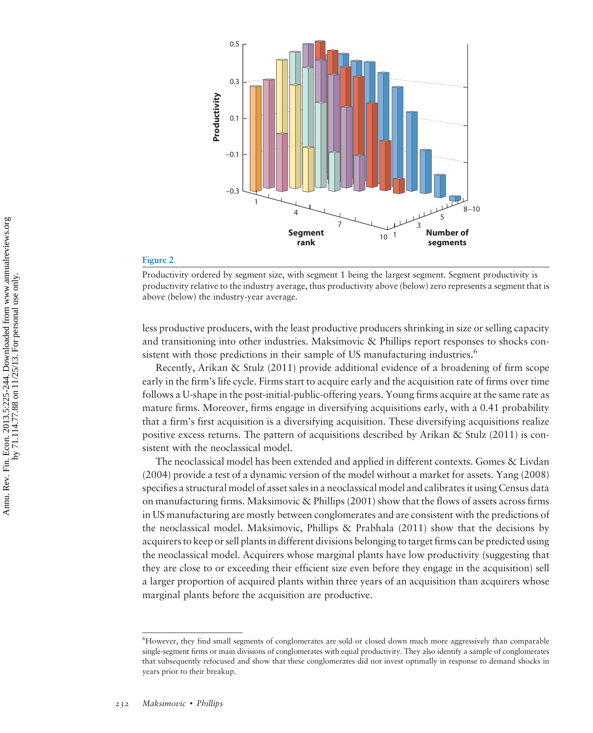

#### Figure 2

Productivity ordered by segment size, with segment 1 being the largest segment. Segment productivity is productivity relative to the industry average, thus productivity above (below) zero represents a segment that is above (below) the industry-year average.

less productive producers, with the least productive producers shrinking in size or selling capacity and transitioning into other industries. Maksimovic & Phillips report responses to shocks consistent with those predictions in their sample of US manufacturing industries.<sup>6</sup>

Recently, Arikan & Stulz (2011) provide additional evidence of a broadening of firm scope early in the firm's life cycle. Firms start to acquire early and the acquisition rate of firms over time follows a U-shape in the post-initial-public-offering years. Young firms acquire at the same rate as mature firms. Moreover, firms engage in diversifying acquisitions early, with a 0.41 probability that a firm's first acquisition is a diversifying acquisition. These diversifying acquisitions realize positive excess returns. The pattern of acquisitions described by Arikan & Stulz (2011) is consistent with the neoclassical model.

The neoclassical model has been extended and applied in different contexts. Gomes & Livdan (2004) provide a test of a dynamic version of the model without a market for assets. Yang (2008) specifies a structural model of asset sales in a neoclassical model and calibrates it using Census data on manufacturing firms. Maksimovic & Phillips (2001) show that the flows of assets across firms in US manufacturing are mostly between conglomerates and are consistent with the predictions of the neoclassical model. Maksimovic, Phillips & Prabhala (2011) show that the decisions by acquirers to keep or sell plants in different divisions belonging to target firms can be predicted using the neoclassical model. Acquirers whose marginal plants have low productivity (suggesting that they are close to or exceeding their efficient size even before they engage in the acquisition) sell a larger proportion of acquired plants within three years of an acquisition than acquirers whose marginal plants before the acquisition are productive.

<sup>6</sup> However, they find small segments of conglomerates are sold or closed down much more aggressively than comparable single-segment firms or main divisions of conglomerates with equal productivity. They also identify a sample of conglomerates that subsequently refocused and show that these conglomerates did not invest optimally in response to demand shocks in years prior to their breakup.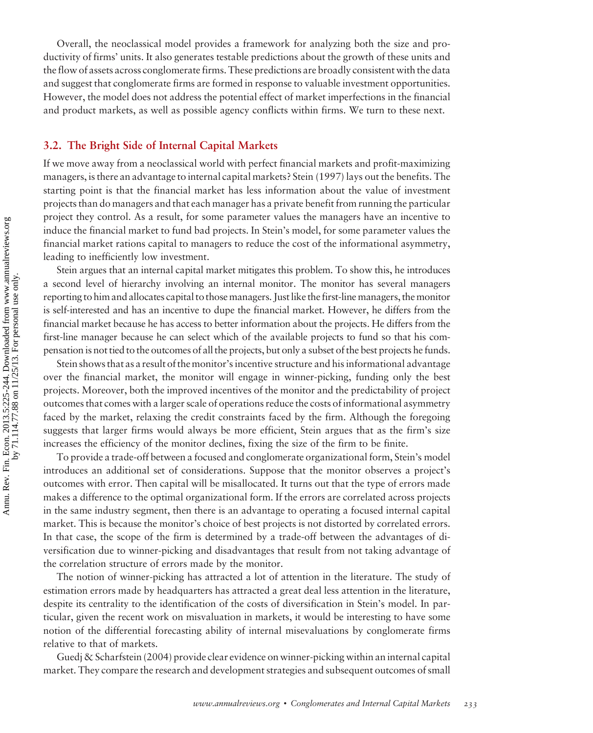Overall, the neoclassical model provides a framework for analyzing both the size and productivity of firms' units. It also generates testable predictions about the growth of these units and the flow of assets across conglomerate firms. These predictions are broadly consistent with the data and suggest that conglomerate firms are formed in response to valuable investment opportunities. However, the model does not address the potential effect of market imperfections in the financial and product markets, as well as possible agency conflicts within firms. We turn to these next.

#### 3.2. The Bright Side of Internal Capital Markets

If we move away from a neoclassical world with perfect financial markets and profit-maximizing managers, is there an advantage to internal capital markets? Stein (1997) lays out the benefits. The starting point is that the financial market has less information about the value of investment projects than do managers and that each manager has a private benefit from running the particular project they control. As a result, for some parameter values the managers have an incentive to induce the financial market to fund bad projects. In Stein's model, for some parameter values the financial market rations capital to managers to reduce the cost of the informational asymmetry, leading to inefficiently low investment.

Stein argues that an internal capital market mitigates this problem. To show this, he introduces a second level of hierarchy involving an internal monitor. The monitor has several managers reporting to him and allocates capital to those managers. Justlike the first-line managers, the monitor is self-interested and has an incentive to dupe the financial market. However, he differs from the financial market because he has access to better information about the projects. He differs from the first-line manager because he can select which of the available projects to fund so that his compensation is not tied to the outcomes of all the projects, but only a subset of the best projects he funds.

Stein shows that as a result of the monitor's incentive structure and his informational advantage over the financial market, the monitor will engage in winner-picking, funding only the best projects. Moreover, both the improved incentives of the monitor and the predictability of project outcomes that comes with a larger scale of operations reduce the costs of informational asymmetry faced by the market, relaxing the credit constraints faced by the firm. Although the foregoing suggests that larger firms would always be more efficient, Stein argues that as the firm's size increases the efficiency of the monitor declines, fixing the size of the firm to be finite.

To provide a trade-off between a focused and conglomerate organizational form, Stein's model introduces an additional set of considerations. Suppose that the monitor observes a project's outcomes with error. Then capital will be misallocated. It turns out that the type of errors made makes a difference to the optimal organizational form. If the errors are correlated across projects in the same industry segment, then there is an advantage to operating a focused internal capital market. This is because the monitor's choice of best projects is not distorted by correlated errors. In that case, the scope of the firm is determined by a trade-off between the advantages of diversification due to winner-picking and disadvantages that result from not taking advantage of the correlation structure of errors made by the monitor.

The notion of winner-picking has attracted a lot of attention in the literature. The study of estimation errors made by headquarters has attracted a great deal less attention in the literature, despite its centrality to the identification of the costs of diversification in Stein's model. In particular, given the recent work on misvaluation in markets, it would be interesting to have some notion of the differential forecasting ability of internal misevaluations by conglomerate firms relative to that of markets.

Guedj & Scharfstein (2004) provide clear evidence on winner-picking within an internal capital market. They compare the research and development strategies and subsequent outcomes of small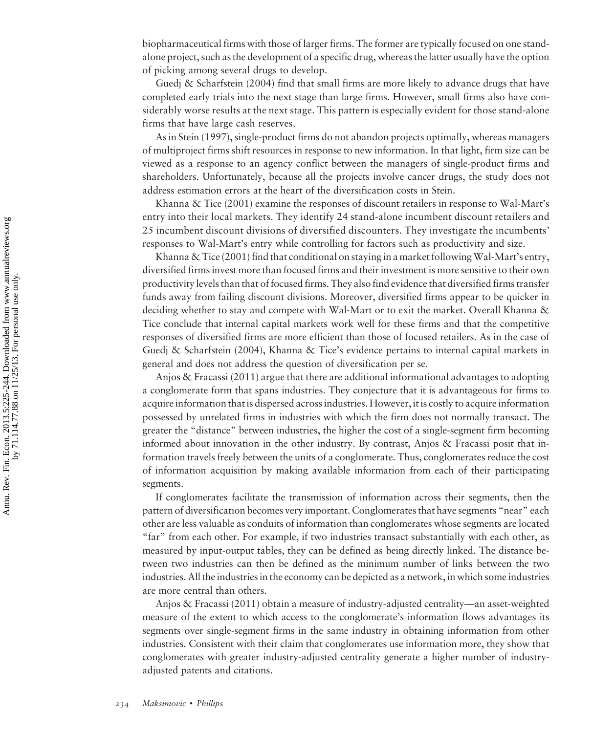biopharmaceutical firms with those of larger firms. The former are typically focused on one standalone project, such as the development of a specific drug, whereas the latter usually have the option of picking among several drugs to develop.

Guedj & Scharfstein (2004) find that small firms are more likely to advance drugs that have completed early trials into the next stage than large firms. However, small firms also have considerably worse results at the next stage. This pattern is especially evident for those stand-alone firms that have large cash reserves.

As in Stein (1997), single-product firms do not abandon projects optimally, whereas managers of multiproject firms shift resources in response to new information. In that light, firm size can be viewed as a response to an agency conflict between the managers of single-product firms and shareholders. Unfortunately, because all the projects involve cancer drugs, the study does not address estimation errors at the heart of the diversification costs in Stein.

Khanna & Tice (2001) examine the responses of discount retailers in response to Wal-Mart's entry into their local markets. They identify 24 stand-alone incumbent discount retailers and 25 incumbent discount divisions of diversified discounters. They investigate the incumbents' responses to Wal-Mart's entry while controlling for factors such as productivity and size.

Khanna & Tice (2001) find that conditional on staying in a market following Wal-Mart's entry, diversified firms invest more than focused firms and their investment is more sensitive to their own productivity levels than that of focused firms. They also find evidence that diversified firms transfer funds away from failing discount divisions. Moreover, diversified firms appear to be quicker in deciding whether to stay and compete with Wal-Mart or to exit the market. Overall Khanna & Tice conclude that internal capital markets work well for these firms and that the competitive responses of diversified firms are more efficient than those of focused retailers. As in the case of Guedj & Scharfstein (2004), Khanna & Tice's evidence pertains to internal capital markets in general and does not address the question of diversification per se.

Anjos & Fracassi (2011) argue that there are additional informational advantages to adopting a conglomerate form that spans industries. They conjecture that it is advantageous for firms to acquire information that is dispersed across industries. However, it is costly to acquire information possessed by unrelated firms in industries with which the firm does not normally transact. The greater the "distance" between industries, the higher the cost of a single-segment firm becoming informed about innovation in the other industry. By contrast, Anjos & Fracassi posit that information travels freely between the units of a conglomerate. Thus, conglomerates reduce the cost of information acquisition by making available information from each of their participating segments.

If conglomerates facilitate the transmission of information across their segments, then the pattern of diversification becomes very important. Conglomerates that have segments "near" each other are less valuable as conduits of information than conglomerates whose segments are located "far" from each other. For example, if two industries transact substantially with each other, as measured by input-output tables, they can be defined as being directly linked. The distance between two industries can then be defined as the minimum number of links between the two industries. All the industries in the economy can be depicted as a network, in which some industries are more central than others.

Anjos & Fracassi (2011) obtain a measure of industry-adjusted centrality—an asset-weighted measure of the extent to which access to the conglomerate's information flows advantages its segments over single-segment firms in the same industry in obtaining information from other industries. Consistent with their claim that conglomerates use information more, they show that conglomerates with greater industry-adjusted centrality generate a higher number of industryadjusted patents and citations.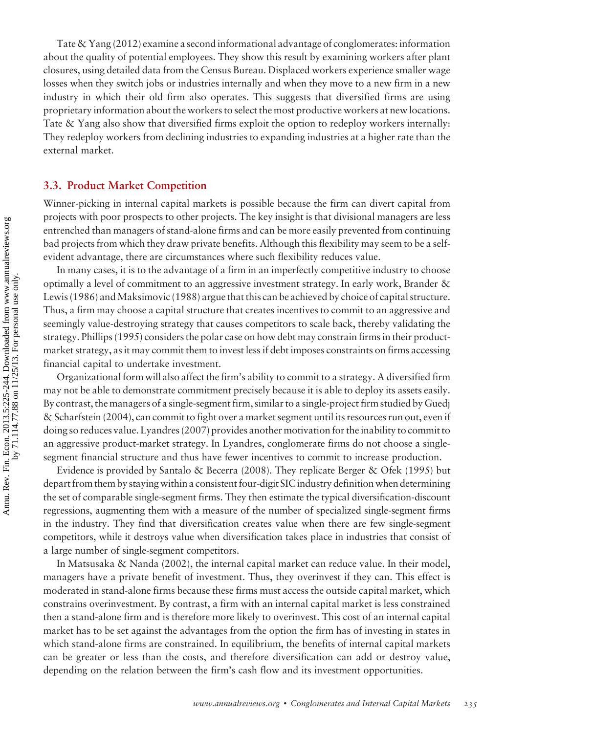Tate & Yang (2012) examine a second informational advantage of conglomerates: information about the quality of potential employees. They show this result by examining workers after plant closures, using detailed data from the Census Bureau. Displaced workers experience smaller wage losses when they switch jobs or industries internally and when they move to a new firm in a new industry in which their old firm also operates. This suggests that diversified firms are using proprietary information about the workers to select the most productive workers at new locations. Tate & Yang also show that diversified firms exploit the option to redeploy workers internally: They redeploy workers from declining industries to expanding industries at a higher rate than the external market.

#### 3.3. Product Market Competition

Winner-picking in internal capital markets is possible because the firm can divert capital from projects with poor prospects to other projects. The key insight is that divisional managers are less entrenched than managers of stand-alone firms and can be more easily prevented from continuing bad projects from which they draw private benefits. Although this flexibility may seem to be a selfevident advantage, there are circumstances where such flexibility reduces value.

In many cases, it is to the advantage of a firm in an imperfectly competitive industry to choose optimally a level of commitment to an aggressive investment strategy. In early work, Brander & Lewis (1986) and Maksimovic (1988) argue that this can be achieved by choice of capital structure. Thus, a firm may choose a capital structure that creates incentives to commit to an aggressive and seemingly value-destroying strategy that causes competitors to scale back, thereby validating the strategy. Phillips (1995) considers the polar case on how debt may constrain firms in their productmarket strategy, as it may commit them to invest less if debt imposes constraints on firms accessing financial capital to undertake investment.

Organizational form will also affect the firm's ability to commit to a strategy. A diversified firm may not be able to demonstrate commitment precisely because it is able to deploy its assets easily. By contrast, the managers of a single-segment firm, similar to a single-project firm studied by Guedj & Scharfstein (2004), can commit to fight over a market segment until its resources run out, even if doing so reduces value. Lyandres (2007) provides another motivation for the inability to commit to an aggressive product-market strategy. In Lyandres, conglomerate firms do not choose a singlesegment financial structure and thus have fewer incentives to commit to increase production.

Evidence is provided by Santalo & Becerra (2008). They replicate Berger & Ofek (1995) but depart from them by staying within a consistent four-digit SIC industry definition when determining the set of comparable single-segment firms. They then estimate the typical diversification-discount regressions, augmenting them with a measure of the number of specialized single-segment firms in the industry. They find that diversification creates value when there are few single-segment competitors, while it destroys value when diversification takes place in industries that consist of a large number of single-segment competitors.

In Matsusaka & Nanda (2002), the internal capital market can reduce value. In their model, managers have a private benefit of investment. Thus, they overinvest if they can. This effect is moderated in stand-alone firms because these firms must access the outside capital market, which constrains overinvestment. By contrast, a firm with an internal capital market is less constrained then a stand-alone firm and is therefore more likely to overinvest. This cost of an internal capital market has to be set against the advantages from the option the firm has of investing in states in which stand-alone firms are constrained. In equilibrium, the benefits of internal capital markets can be greater or less than the costs, and therefore diversification can add or destroy value, depending on the relation between the firm's cash flow and its investment opportunities.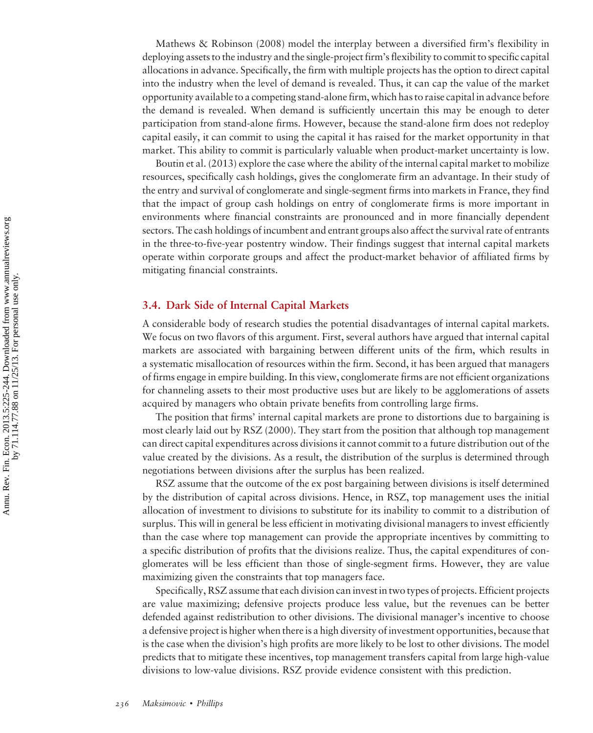Mathews & Robinson (2008) model the interplay between a diversified firm's flexibility in deploying assets to the industry and the single-project firm's flexibility to commit to specific capital allocations in advance. Specifically, the firm with multiple projects has the option to direct capital into the industry when the level of demand is revealed. Thus, it can cap the value of the market opportunity available to a competing stand-alone firm, which has to raise capital in advance before the demand is revealed. When demand is sufficiently uncertain this may be enough to deter participation from stand-alone firms. However, because the stand-alone firm does not redeploy capital easily, it can commit to using the capital it has raised for the market opportunity in that market. This ability to commit is particularly valuable when product-market uncertainty is low.

Boutin et al. (2013) explore the case where the ability of the internal capital market to mobilize resources, specifically cash holdings, gives the conglomerate firm an advantage. In their study of the entry and survival of conglomerate and single-segment firms into markets in France, they find that the impact of group cash holdings on entry of conglomerate firms is more important in environments where financial constraints are pronounced and in more financially dependent sectors. The cash holdings of incumbent and entrant groups also affect the survival rate of entrants in the three-to-five-year postentry window. Their findings suggest that internal capital markets operate within corporate groups and affect the product-market behavior of affiliated firms by mitigating financial constraints.

#### 3.4. Dark Side of Internal Capital Markets

A considerable body of research studies the potential disadvantages of internal capital markets. We focus on two flavors of this argument. First, several authors have argued that internal capital markets are associated with bargaining between different units of the firm, which results in a systematic misallocation of resources within the firm. Second, it has been argued that managers of firms engage in empire building. In this view, conglomerate firms are not efficient organizations for channeling assets to their most productive uses but are likely to be agglomerations of assets acquired by managers who obtain private benefits from controlling large firms.

The position that firms' internal capital markets are prone to distortions due to bargaining is most clearly laid out by RSZ (2000). They start from the position that although top management can direct capital expenditures across divisions it cannot commit to a future distribution out of the value created by the divisions. As a result, the distribution of the surplus is determined through negotiations between divisions after the surplus has been realized.

RSZ assume that the outcome of the ex post bargaining between divisions is itself determined by the distribution of capital across divisions. Hence, in RSZ, top management uses the initial allocation of investment to divisions to substitute for its inability to commit to a distribution of surplus. This will in general be less efficient in motivating divisional managers to invest efficiently than the case where top management can provide the appropriate incentives by committing to a specific distribution of profits that the divisions realize. Thus, the capital expenditures of conglomerates will be less efficient than those of single-segment firms. However, they are value maximizing given the constraints that top managers face.

Specifically, RSZ assume that each division can invest in two types of projects. Efficient projects are value maximizing; defensive projects produce less value, but the revenues can be better defended against redistribution to other divisions. The divisional manager's incentive to choose a defensive project is higher when there is a high diversity of investment opportunities, because that is the case when the division's high profits are more likely to be lost to other divisions. The model predicts that to mitigate these incentives, top management transfers capital from large high-value divisions to low-value divisions. RSZ provide evidence consistent with this prediction.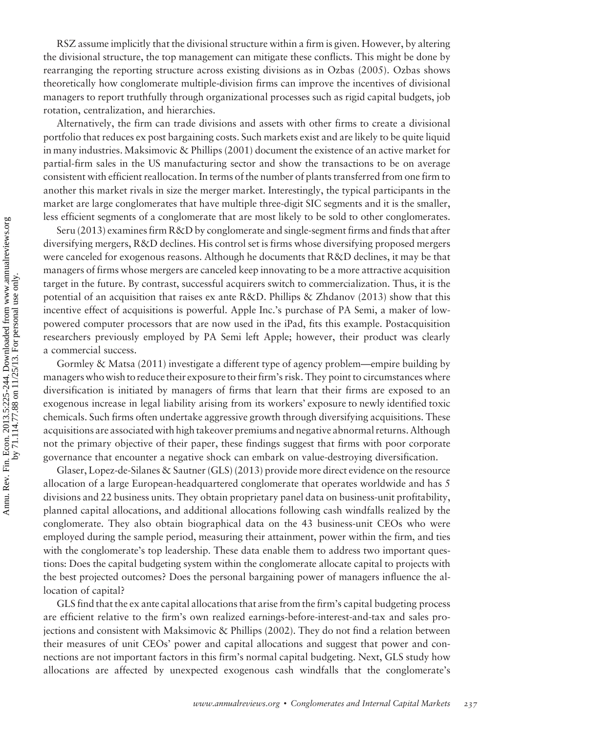RSZ assume implicitly that the divisional structure within a firm is given. However, by altering the divisional structure, the top management can mitigate these conflicts. This might be done by rearranging the reporting structure across existing divisions as in Ozbas (2005). Ozbas shows theoretically how conglomerate multiple-division firms can improve the incentives of divisional managers to report truthfully through organizational processes such as rigid capital budgets, job rotation, centralization, and hierarchies.

Alternatively, the firm can trade divisions and assets with other firms to create a divisional portfolio that reduces ex post bargaining costs. Such markets exist and are likely to be quite liquid in many industries. Maksimovic & Phillips (2001) document the existence of an active market for partial-firm sales in the US manufacturing sector and show the transactions to be on average consistent with efficient reallocation. In terms of the number of plants transferred from one firm to another this market rivals in size the merger market. Interestingly, the typical participants in the market are large conglomerates that have multiple three-digit SIC segments and it is the smaller, less efficient segments of a conglomerate that are most likely to be sold to other conglomerates.

Seru (2013) examines firm R&D by conglomerate and single-segment firms and finds that after diversifying mergers, R&D declines. His control set is firms whose diversifying proposed mergers were canceled for exogenous reasons. Although he documents that R&D declines, it may be that managers of firms whose mergers are canceled keep innovating to be a more attractive acquisition target in the future. By contrast, successful acquirers switch to commercialization. Thus, it is the potential of an acquisition that raises ex ante  $R&D$ . Phillips  $&Z$ hdanov (2013) show that this incentive effect of acquisitions is powerful. Apple Inc.'s purchase of PA Semi, a maker of lowpowered computer processors that are now used in the iPad, fits this example. Postacquisition researchers previously employed by PA Semi left Apple; however, their product was clearly a commercial success.

Gormley & Matsa (2011) investigate a different type of agency problem—empire building by managers who wish to reduce their exposure to their firm's risk. They point to circumstances where diversification is initiated by managers of firms that learn that their firms are exposed to an exogenous increase in legal liability arising from its workers' exposure to newly identified toxic chemicals. Such firms often undertake aggressive growth through diversifying acquisitions. These acquisitions are associated with high takeover premiums and negative abnormal returns. Although not the primary objective of their paper, these findings suggest that firms with poor corporate governance that encounter a negative shock can embark on value-destroying diversification.

Glaser, Lopez-de-Silanes & Sautner (GLS) (2013) provide more direct evidence on the resource allocation of a large European-headquartered conglomerate that operates worldwide and has 5 divisions and 22 business units. They obtain proprietary panel data on business-unit profitability, planned capital allocations, and additional allocations following cash windfalls realized by the conglomerate. They also obtain biographical data on the 43 business-unit CEOs who were employed during the sample period, measuring their attainment, power within the firm, and ties with the conglomerate's top leadership. These data enable them to address two important questions: Does the capital budgeting system within the conglomerate allocate capital to projects with the best projected outcomes? Does the personal bargaining power of managers influence the allocation of capital?

GLS find that the ex ante capital allocations that arise from the firm's capital budgeting process are efficient relative to the firm's own realized earnings-before-interest-and-tax and sales projections and consistent with Maksimovic & Phillips (2002). They do not find a relation between their measures of unit CEOs' power and capital allocations and suggest that power and connections are not important factors in this firm's normal capital budgeting. Next, GLS study how allocations are affected by unexpected exogenous cash windfalls that the conglomerate's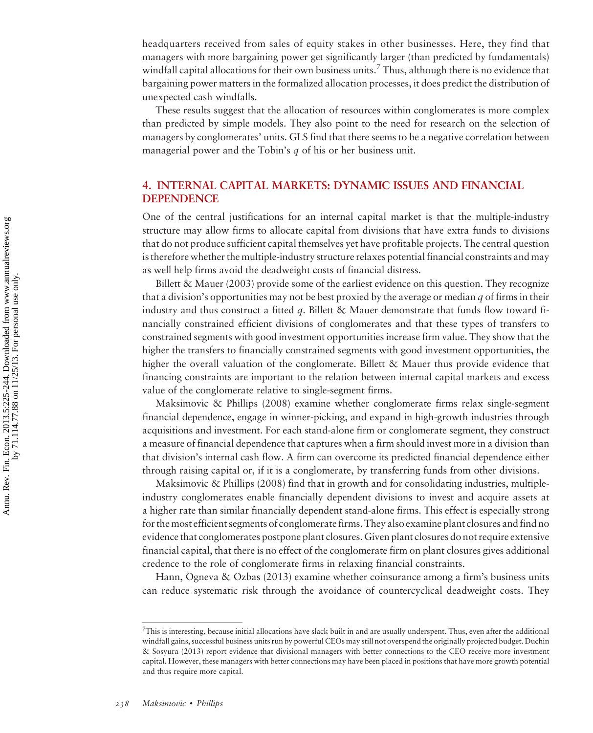headquarters received from sales of equity stakes in other businesses. Here, they find that managers with more bargaining power get significantly larger (than predicted by fundamentals) windfall capital allocations for their own business units.<sup>7</sup> Thus, although there is no evidence that bargaining power matters in the formalized allocation processes, it does predict the distribution of unexpected cash windfalls.

These results suggest that the allocation of resources within conglomerates is more complex than predicted by simple models. They also point to the need for research on the selection of managers by conglomerates' units. GLS find that there seems to be a negative correlation between managerial power and the Tobin's  $q$  of his or her business unit.

#### 4. INTERNAL CAPITAL MARKETS: DYNAMIC ISSUES AND FINANCIAL DEPENDENCE

One of the central justifications for an internal capital market is that the multiple-industry structure may allow firms to allocate capital from divisions that have extra funds to divisions that do not produce sufficient capital themselves yet have profitable projects. The central question is therefore whether the multiple-industry structure relaxes potential financial constraints and may as well help firms avoid the deadweight costs of financial distress.

Billett & Mauer (2003) provide some of the earliest evidence on this question. They recognize that a division's opportunities may not be best proxied by the average or median  $q$  of firms in their industry and thus construct a fitted q. Billett & Mauer demonstrate that funds flow toward financially constrained efficient divisions of conglomerates and that these types of transfers to constrained segments with good investment opportunities increase firm value. They show that the higher the transfers to financially constrained segments with good investment opportunities, the higher the overall valuation of the conglomerate. Billett & Mauer thus provide evidence that financing constraints are important to the relation between internal capital markets and excess value of the conglomerate relative to single-segment firms.

Maksimovic & Phillips (2008) examine whether conglomerate firms relax single-segment financial dependence, engage in winner-picking, and expand in high-growth industries through acquisitions and investment. For each stand-alone firm or conglomerate segment, they construct a measure of financial dependence that captures when a firm should invest more in a division than that division's internal cash flow. A firm can overcome its predicted financial dependence either through raising capital or, if it is a conglomerate, by transferring funds from other divisions.

Maksimovic & Phillips (2008) find that in growth and for consolidating industries, multipleindustry conglomerates enable financially dependent divisions to invest and acquire assets at a higher rate than similar financially dependent stand-alone firms. This effect is especially strong for the most efficient segments of conglomerate firms. They also examine plant closures and find no evidence that conglomerates postpone plant closures. Given plant closures do not require extensive financial capital, that there is no effect of the conglomerate firm on plant closures gives additional credence to the role of conglomerate firms in relaxing financial constraints.

Hann, Ogneva & Ozbas (2013) examine whether coinsurance among a firm's business units can reduce systematic risk through the avoidance of countercyclical deadweight costs. They

<sup>7</sup> This is interesting, because initial allocations have slack built in and are usually underspent. Thus, even after the additional windfall gains, successful business units run by powerful CEOs may still not overspend the originally projected budget. Duchin & Sosyura (2013) report evidence that divisional managers with better connections to the CEO receive more investment capital. However, these managers with better connections may have been placed in positions that have more growth potential and thus require more capital.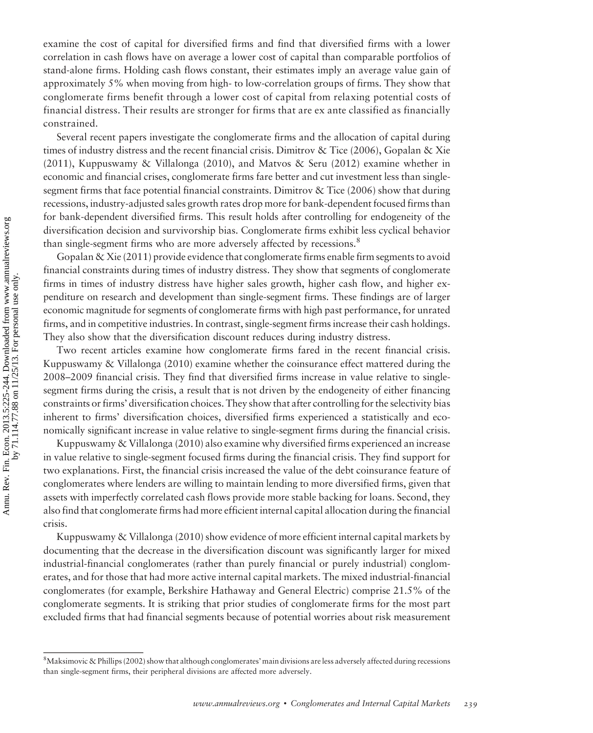examine the cost of capital for diversified firms and find that diversified firms with a lower correlation in cash flows have on average a lower cost of capital than comparable portfolios of stand-alone firms. Holding cash flows constant, their estimates imply an average value gain of approximately 5% when moving from high- to low-correlation groups of firms. They show that conglomerate firms benefit through a lower cost of capital from relaxing potential costs of financial distress. Their results are stronger for firms that are ex ante classified as financially constrained.

Several recent papers investigate the conglomerate firms and the allocation of capital during times of industry distress and the recent financial crisis. Dimitrov & Tice (2006), Gopalan & Xie (2011), Kuppuswamy & Villalonga (2010), and Matvos & Seru (2012) examine whether in economic and financial crises, conglomerate firms fare better and cut investment less than singlesegment firms that face potential financial constraints. Dimitrov & Tice (2006) show that during recessions, industry-adjusted sales growth rates drop more for bank-dependent focused firms than for bank-dependent diversified firms. This result holds after controlling for endogeneity of the diversification decision and survivorship bias. Conglomerate firms exhibit less cyclical behavior than single-segment firms who are more adversely affected by recessions.<sup>8</sup>

Gopalan & Xie (2011) provide evidence that conglomerate firms enable firm segments to avoid financial constraints during times of industry distress. They show that segments of conglomerate firms in times of industry distress have higher sales growth, higher cash flow, and higher expenditure on research and development than single-segment firms. These findings are of larger economic magnitude for segments of conglomerate firms with high past performance, for unrated firms, and in competitive industries. In contrast, single-segment firms increase their cash holdings. They also show that the diversification discount reduces during industry distress.

Two recent articles examine how conglomerate firms fared in the recent financial crisis. Kuppuswamy & Villalonga (2010) examine whether the coinsurance effect mattered during the 2008–2009 financial crisis. They find that diversified firms increase in value relative to singlesegment firms during the crisis, a result that is not driven by the endogeneity of either financing constraints or firms' diversification choices. They show that after controlling for the selectivity bias inherent to firms' diversification choices, diversified firms experienced a statistically and economically significant increase in value relative to single-segment firms during the financial crisis.

Kuppuswamy & Villalonga (2010) also examine why diversified firms experienced an increase in value relative to single-segment focused firms during the financial crisis. They find support for two explanations. First, the financial crisis increased the value of the debt coinsurance feature of conglomerates where lenders are willing to maintain lending to more diversified firms, given that assets with imperfectly correlated cash flows provide more stable backing for loans. Second, they also find that conglomerate firms had more efficient internal capital allocation during the financial crisis.

Kuppuswamy & Villalonga (2010) show evidence of more efficient internal capital markets by documenting that the decrease in the diversification discount was significantly larger for mixed industrial-financial conglomerates (rather than purely financial or purely industrial) conglomerates, and for those that had more active internal capital markets. The mixed industrial-financial conglomerates (for example, Berkshire Hathaway and General Electric) comprise 21.5% of the conglomerate segments. It is striking that prior studies of conglomerate firms for the most part excluded firms that had financial segments because of potential worries about risk measurement

<sup>&</sup>lt;sup>8</sup>Maksimovic & Phillips (2002) show that although conglomerates' main divisions are less adversely affected during recessions than single-segment firms, their peripheral divisions are affected more adversely.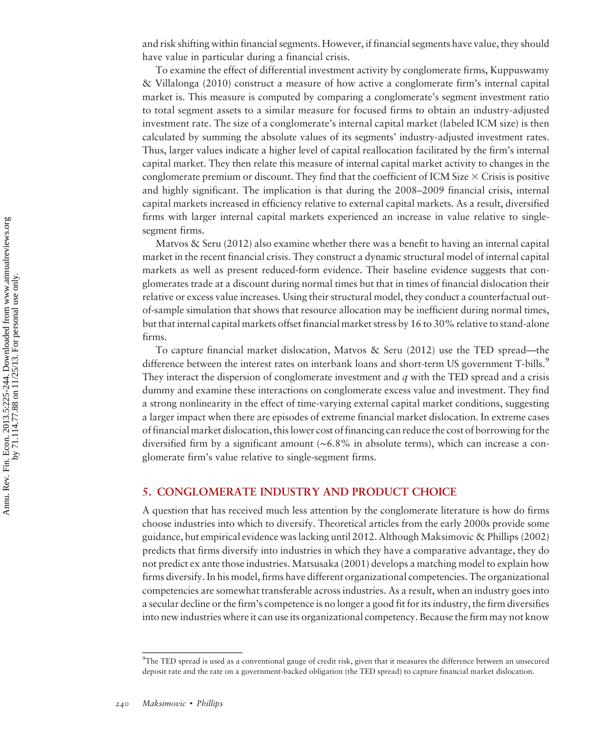and risk shifting within financial segments. However, if financial segments have value, they should have value in particular during a financial crisis.

To examine the effect of differential investment activity by conglomerate firms, Kuppuswamy & Villalonga (2010) construct a measure of how active a conglomerate firm's internal capital market is. This measure is computed by comparing a conglomerate's segment investment ratio to total segment assets to a similar measure for focused firms to obtain an industry-adjusted investment rate. The size of a conglomerate's internal capital market (labeled ICM size) is then calculated by summing the absolute values of its segments' industry-adjusted investment rates. Thus, larger values indicate a higher level of capital reallocation facilitated by the firm's internal capital market. They then relate this measure of internal capital market activity to changes in the conglomerate premium or discount. They find that the coefficient of ICM Size  $\times$  Crisis is positive and highly significant. The implication is that during the 2008–2009 financial crisis, internal capital markets increased in efficiency relative to external capital markets. As a result, diversified firms with larger internal capital markets experienced an increase in value relative to singlesegment firms.

Matvos & Seru (2012) also examine whether there was a benefit to having an internal capital market in the recent financial crisis. They construct a dynamic structural model of internal capital markets as well as present reduced-form evidence. Their baseline evidence suggests that conglomerates trade at a discount during normal times but that in times of financial dislocation their relative or excess value increases. Using their structural model, they conduct a counterfactual outof-sample simulation that shows that resource allocation may be inefficient during normal times, but that internal capital markets offset financial market stress by 16 to 30% relative to stand-alone firms.

To capture financial market dislocation, Matvos & Seru (2012) use the TED spread—the difference between the interest rates on interbank loans and short-term US government T-bills.<sup>9</sup> They interact the dispersion of conglomerate investment and  $q$  with the TED spread and a crisis dummy and examine these interactions on conglomerate excess value and investment. They find a strong nonlinearity in the effect of time-varying external capital market conditions, suggesting a larger impact when there are episodes of extreme financial market dislocation. In extreme cases of financial market dislocation, this lower cost of financing can reduce the cost of borrowing for the diversified firm by a significant amount (∼6.8% in absolute terms), which can increase a conglomerate firm's value relative to single-segment firms.

#### 5. CONGLOMERATE INDUSTRY AND PRODUCT CHOICE

A question that has received much less attention by the conglomerate literature is how do firms choose industries into which to diversify. Theoretical articles from the early 2000s provide some guidance, but empirical evidence was lacking until 2012. Although Maksimovic & Phillips (2002) predicts that firms diversify into industries in which they have a comparative advantage, they do not predict ex ante those industries. Matsusaka (2001) develops a matching model to explain how firms diversify. In his model, firms have different organizational competencies. The organizational competencies are somewhat transferable across industries. As a result, when an industry goes into a secular decline or the firm's competence is no longer a good fit for its industry, the firm diversifies into new industries where it can use its organizational competency. Because the firm may not know

<sup>9</sup> The TED spread is used as a conventional gauge of credit risk, given that it measures the difference between an unsecured deposit rate and the rate on a government-backed obligation (the TED spread) to capture financial market dislocation.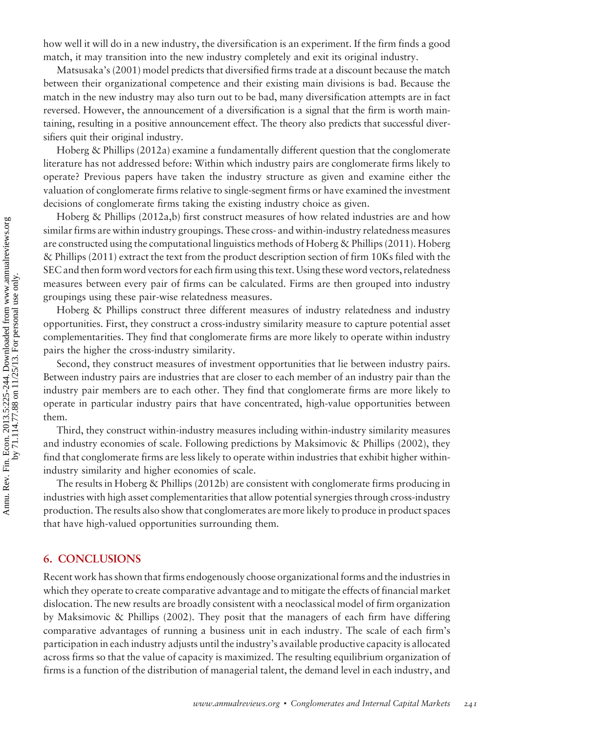how well it will do in a new industry, the diversification is an experiment. If the firm finds a good match, it may transition into the new industry completely and exit its original industry.

Matsusaka's (2001) model predicts that diversified firms trade at a discount because the match between their organizational competence and their existing main divisions is bad. Because the match in the new industry may also turn out to be bad, many diversification attempts are in fact reversed. However, the announcement of a diversification is a signal that the firm is worth maintaining, resulting in a positive announcement effect. The theory also predicts that successful diversifiers quit their original industry.

Hoberg & Phillips (2012a) examine a fundamentally different question that the conglomerate literature has not addressed before: Within which industry pairs are conglomerate firms likely to operate? Previous papers have taken the industry structure as given and examine either the valuation of conglomerate firms relative to single-segment firms or have examined the investment decisions of conglomerate firms taking the existing industry choice as given.

Hoberg & Phillips (2012a,b) first construct measures of how related industries are and how similar firms are within industry groupings. These cross- and within-industry relatedness measures are constructed using the computational linguistics methods of Hoberg & Phillips (2011). Hoberg & Phillips (2011) extract the text from the product description section of firm 10Ks filed with the SEC and then form word vectors for each firm using this text. Using these word vectors, relatedness measures between every pair of firms can be calculated. Firms are then grouped into industry groupings using these pair-wise relatedness measures.

Hoberg & Phillips construct three different measures of industry relatedness and industry opportunities. First, they construct a cross-industry similarity measure to capture potential asset complementarities. They find that conglomerate firms are more likely to operate within industry pairs the higher the cross-industry similarity.

Second, they construct measures of investment opportunities that lie between industry pairs. Between industry pairs are industries that are closer to each member of an industry pair than the industry pair members are to each other. They find that conglomerate firms are more likely to operate in particular industry pairs that have concentrated, high-value opportunities between them.

Third, they construct within-industry measures including within-industry similarity measures and industry economies of scale. Following predictions by Maksimovic & Phillips (2002), they find that conglomerate firms are less likely to operate within industries that exhibit higher withinindustry similarity and higher economies of scale.

The results in Hoberg & Phillips (2012b) are consistent with conglomerate firms producing in industries with high asset complementarities that allow potential synergies through cross-industry production. The results also show that conglomerates are more likely to produce in product spaces that have high-valued opportunities surrounding them.

#### 6. CONCLUSIONS

Recent work has shown that firms endogenously choose organizational forms and the industries in which they operate to create comparative advantage and to mitigate the effects of financial market dislocation. The new results are broadly consistent with a neoclassical model of firm organization by Maksimovic & Phillips (2002). They posit that the managers of each firm have differing comparative advantages of running a business unit in each industry. The scale of each firm's participation in each industry adjusts until the industry's available productive capacity is allocated across firms so that the value of capacity is maximized. The resulting equilibrium organization of firms is a function of the distribution of managerial talent, the demand level in each industry, and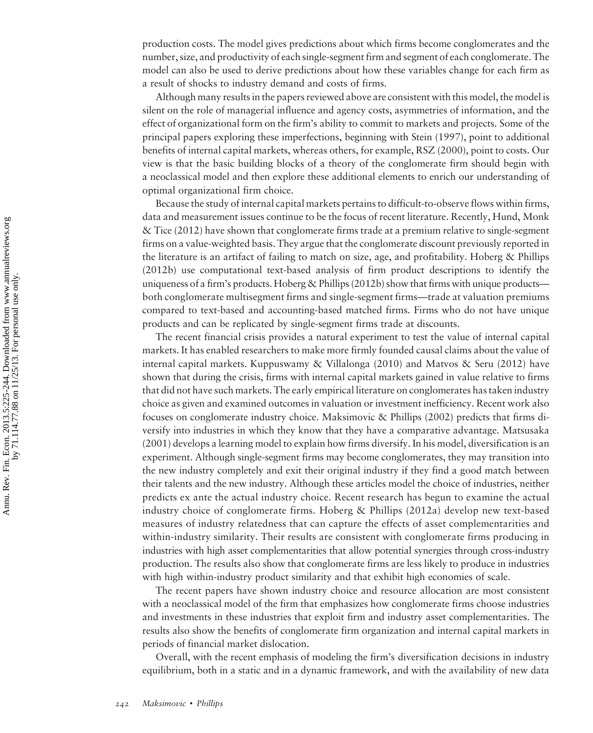production costs. The model gives predictions about which firms become conglomerates and the number, size, and productivity of each single-segment firm and segment of each conglomerate. The model can also be used to derive predictions about how these variables change for each firm as a result of shocks to industry demand and costs of firms.

Although many results in the papers reviewed above are consistent with this model, the model is silent on the role of managerial influence and agency costs, asymmetries of information, and the effect of organizational form on the firm's ability to commit to markets and projects. Some of the principal papers exploring these imperfections, beginning with Stein (1997), point to additional benefits of internal capital markets, whereas others, for example, RSZ (2000), point to costs. Our view is that the basic building blocks of a theory of the conglomerate firm should begin with a neoclassical model and then explore these additional elements to enrich our understanding of optimal organizational firm choice.

Because the study of internal capital markets pertains to difficult-to-observe flows within firms, data and measurement issues continue to be the focus of recent literature. Recently, Hund, Monk & Tice (2012) have shown that conglomerate firms trade at a premium relative to single-segment firms on a value-weighted basis. They argue that the conglomerate discount previously reported in the literature is an artifact of failing to match on size, age, and profitability. Hoberg & Phillips (2012b) use computational text-based analysis of firm product descriptions to identify the uniqueness of a firm's products. Hoberg & Phillips (2012b) show that firms with unique products both conglomerate multisegment firms and single-segment firms—trade at valuation premiums compared to text-based and accounting-based matched firms. Firms who do not have unique products and can be replicated by single-segment firms trade at discounts.

The recent financial crisis provides a natural experiment to test the value of internal capital markets. It has enabled researchers to make more firmly founded causal claims about the value of internal capital markets. Kuppuswamy & Villalonga (2010) and Matvos & Seru (2012) have shown that during the crisis, firms with internal capital markets gained in value relative to firms that did not have such markets. The early empirical literature on conglomerates has taken industry choice as given and examined outcomes in valuation or investment inefficiency. Recent work also focuses on conglomerate industry choice. Maksimovic & Phillips (2002) predicts that firms diversify into industries in which they know that they have a comparative advantage. Matsusaka (2001) develops a learning model to explain how firms diversify. In his model, diversification is an experiment. Although single-segment firms may become conglomerates, they may transition into the new industry completely and exit their original industry if they find a good match between their talents and the new industry. Although these articles model the choice of industries, neither predicts ex ante the actual industry choice. Recent research has begun to examine the actual industry choice of conglomerate firms. Hoberg & Phillips (2012a) develop new text-based measures of industry relatedness that can capture the effects of asset complementarities and within-industry similarity. Their results are consistent with conglomerate firms producing in industries with high asset complementarities that allow potential synergies through cross-industry production. The results also show that conglomerate firms are less likely to produce in industries with high within-industry product similarity and that exhibit high economies of scale.

The recent papers have shown industry choice and resource allocation are most consistent with a neoclassical model of the firm that emphasizes how conglomerate firms choose industries and investments in these industries that exploit firm and industry asset complementarities. The results also show the benefits of conglomerate firm organization and internal capital markets in periods of financial market dislocation.

Overall, with the recent emphasis of modeling the firm's diversification decisions in industry equilibrium, both in a static and in a dynamic framework, and with the availability of new data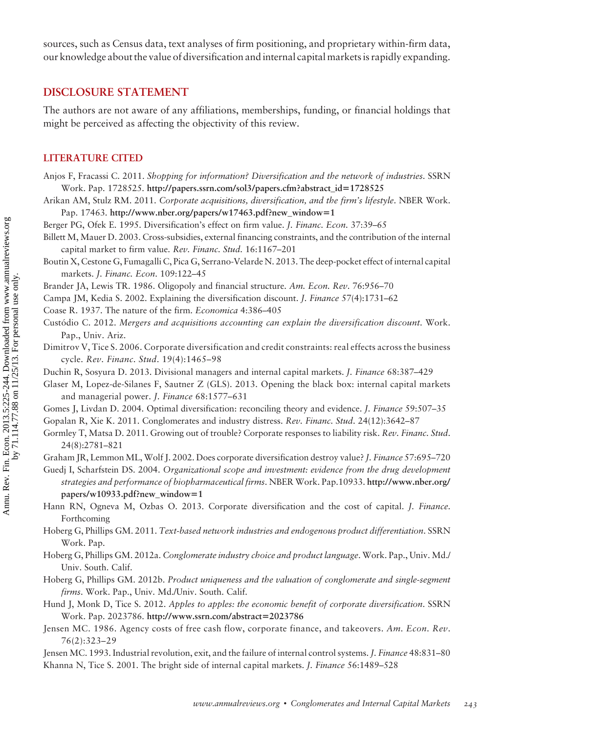sources, such as Census data, text analyses of firm positioning, and proprietary within-firm data, our knowledge about the value of diversification and internal capital markets is rapidly expanding.

#### DISCLOSURE STATEMENT

The authors are not aware of any affiliations, memberships, funding, or financial holdings that might be perceived as affecting the objectivity of this review.

#### LITERATURE CITED

- Anjos F, Fracassi C. 2011. Shopping for information? Diversification and the network of industries. SSRN Work. Pap. 1728525. [http://papers.ssrn.com/sol3/papers.cfm?abstract\\_id](http://papers.ssrn.com/sol3/papers.cfm?abstract_id=1728525)5[1728525](http://papers.ssrn.com/sol3/papers.cfm?abstract_id=1728525)
- Arikan AM, Stulz RM. 2011. Corporate acquisitions, diversification, and the firm's lifestyle. NBER Work. Pap. 17463. [http://www.nber.org/papers/w17463.pdf?new\\_window](http://www.nber.org/papers/w17463.pdf?new_window=1)=[1](http://www.nber.org/papers/w17463.pdf?new_window=1)
- Berger PG, Ofek E. 1995. Diversification's effect on firm value. J. Financ. Econ. 37:39–65
- Billett M, Mauer D. 2003. Cross-subsidies, external financing constraints, and the contribution of the internal capital market to firm value. Rev. Financ. Stud. 16:1167–201
- Boutin X, Cestone G, Fumagalli C, Pica G, Serrano-Velarde N. 2013. The deep-pocket effect of internal capital markets. J. Financ. Econ. 109:122–45
- Brander JA, Lewis TR. 1986. Oligopoly and financial structure. Am. Econ. Rev. 76:956-70
- Campa JM, Kedia S. 2002. Explaining the diversification discount. J. Finance 57(4):1731–62
- Coase R. 1937. The nature of the firm. Economica 4:386–405
- Custódio C. 2012. Mergers and acquisitions accounting can explain the diversification discount. Work. Pap., Univ. Ariz.
- Dimitrov V, Tice S. 2006. Corporate diversification and credit constraints: real effects across the business cycle. Rev. Financ. Stud. 19(4):1465–98
- Duchin R, Sosyura D. 2013. Divisional managers and internal capital markets. J. Finance 68:387-429
- Glaser M, Lopez-de-Silanes F, Sautner Z (GLS). 2013. Opening the black box: internal capital markets and managerial power. J. Finance 68:1577–631
- Gomes J, Livdan D. 2004. Optimal diversification: reconciling theory and evidence. *J. Finance* 59:507-35
- Gopalan R, Xie K. 2011. Conglomerates and industry distress. Rev. Financ. Stud. 24(12):3642–87
- Gormley T, Matsa D. 2011. Growing out of trouble? Corporate responses to liability risk. Rev. Financ. Stud. 24(8):2781–821
- Graham JR, Lemmon ML, Wolf J. 2002. Does corporate diversification destroy value? *J. Finance* 57:695-720
- Guedj I, Scharfstein DS. 2004. Organizational scope and investment: evidence from the drug development strategies and performance of biopharmaceutical firms. NBER Work. Pap.10933. [http://www.nber.org/](http://www.nber.org/papers/w10933.pdf?new_window=1) [papers/w10933.pdf?new\\_window](http://www.nber.org/papers/w10933.pdf?new_window=1)=[1](http://www.nber.org/papers/w10933.pdf?new_window=1)
- Hann RN, Ogneva M, Ozbas O. 2013. Corporate diversification and the cost of capital. J. Finance. Forthcoming
- Hoberg G, Phillips GM. 2011. Text-based network industries and endogenous product differentiation. SSRN Work. Pap.
- Hoberg G, Phillips GM. 2012a. Conglomerate industry choice and product language. Work. Pap., Univ. Md./ Univ. South. Calif.
- Hoberg G, Phillips GM. 2012b. Product uniqueness and the valuation of conglomerate and single-segment firms. Work. Pap., Univ. Md./Univ. South. Calif.
- Hund J, Monk D, Tice S. 2012. Apples to apples: the economic benefit of corporate diversification. SSRN Work. Pap. 2023786. [http://www.ssrn.com/abstract](http://www.ssrn.com/abstract=2023786)=[2023786](http://www.ssrn.com/abstract=2023786)
- Jensen MC. 1986. Agency costs of free cash flow, corporate finance, and takeovers. Am. Econ. Rev. 76(2):323–29
- Jensen MC. 1993. Industrial revolution, exit, and the failure of internal control systems. J. Finance 48:831–80 Khanna N, Tice S. 2001. The bright side of internal capital markets. J. Finance 56:1489–528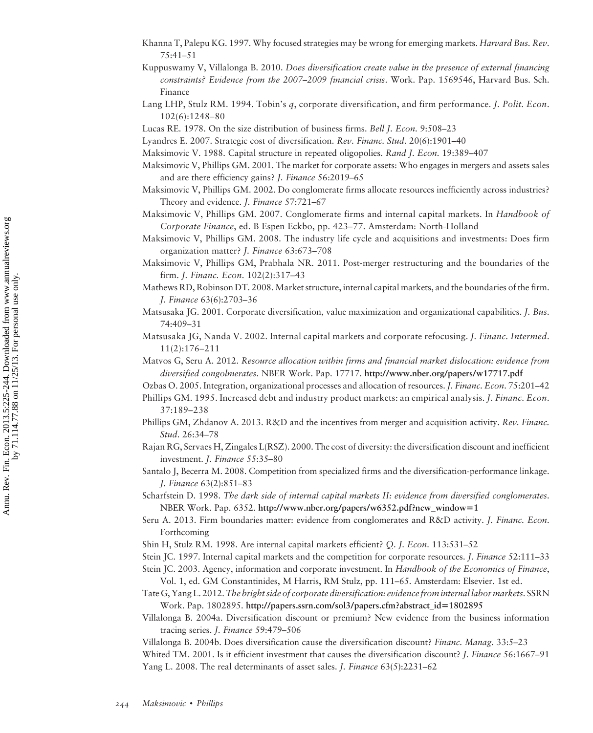- Khanna T, Palepu KG. 1997. Why focused strategies may be wrong for emerging markets. Harvard Bus. Rev. 75:41–51
- Kuppuswamy V, Villalonga B, 2010. Does diversification create value in the presence of external financing constraints? Evidence from the 2007–2009 financial crisis. Work. Pap. 1569546, Harvard Bus. Sch. Finance
- Lang LHP, Stulz RM. 1994. Tobin's q, corporate diversification, and firm performance. J. Polit. Econ. 102(6):1248–80
- Lucas RE. 1978. On the size distribution of business firms. Bell J. Econ. 9:508–23
- Lyandres E. 2007. Strategic cost of diversification. Rev. Financ. Stud. 20(6):1901–40
- Maksimovic V. 1988. Capital structure in repeated oligopolies. Rand J. Econ. 19:389-407
- Maksimovic V, Phillips GM. 2001. The market for corporate assets: Who engages in mergers and assets sales and are there efficiency gains? J. Finance 56:2019–65
- Maksimovic V, Phillips GM. 2002. Do conglomerate firms allocate resources inefficiently across industries? Theory and evidence. J. Finance 57:721-67
- Maksimovic V, Phillips GM. 2007. Conglomerate firms and internal capital markets. In Handbook of Corporate Finance, ed. B Espen Eckbo, pp. 423–77. Amsterdam: North-Holland
- Maksimovic V, Phillips GM. 2008. The industry life cycle and acquisitions and investments: Does firm organization matter? J. Finance 63:673–708
- Maksimovic V, Phillips GM, Prabhala NR. 2011. Post-merger restructuring and the boundaries of the firm. J. Financ. Econ. 102(2):317–43
- Mathews RD, Robinson DT. 2008. Market structure, internal capital markets, and the boundaries of the firm. J. Finance 63(6):2703–36
- Matsusaka JG. 2001. Corporate diversification, value maximization and organizational capabilities. J. Bus. 74:409–31
- Matsusaka JG, Nanda V. 2002. Internal capital markets and corporate refocusing. J. Financ. Intermed. 11(2):176–211
- Matvos G, Seru A. 2012. Resource allocation within firms and financial market dislocation: evidence from diversified congolmerates. NBER Work. Pap. 17717. <http://www.nber.org/papers/w17717.pdf>
- Ozbas O. 2005. Integration, organizational processes and allocation of resources. J. Financ. Econ. 75:201–42
- Phillips GM. 1995. Increased debt and industry product markets: an empirical analysis. J. Financ. Econ. 37:189–238
- Phillips GM, Zhdanov A. 2013. R&D and the incentives from merger and acquisition activity. Rev. Financ. Stud. 26:34–78
- Rajan RG, Servaes H, Zingales L(RSZ). 2000. The cost of diversity: the diversification discount and inefficient investment. J. Finance 55:35–80
- Santalo J, Becerra M. 2008. Competition from specialized firms and the diversification-performance linkage. J. Finance 63(2):851–83
- Scharfstein D. 1998. The dark side of internal capital markets II: evidence from diversified conglomerates. NBER Work. Pap. 6352. [http://www.nber.org/papers/w6352.pdf?new\\_window](http://www.nber.org/papers/w6352.pdf?new_window=1)=[1](http://www.nber.org/papers/w6352.pdf?new_window=1)
- Seru A. 2013. Firm boundaries matter: evidence from conglomerates and R&D activity. *J. Financ. Econ.* Forthcoming
- Shin H, Stulz RM. 1998. Are internal capital markets efficient? Q. J. Econ. 113:531–52

Stein JC. 1997. Internal capital markets and the competition for corporate resources. *J. Finance* 52:111–33

- Stein JC. 2003. Agency, information and corporate investment. In Handbook of the Economics of Finance, Vol. 1, ed. GM Constantinides, M Harris, RM Stulz, pp. 111–65. Amsterdam: Elsevier. 1st ed.
- Tate G, Yang L. 2012.The bright side of corporate diversification: evidence from internal labor markets. SSRN Work. Pap. 1802895. [http://papers.ssrn.com/sol3/papers.cfm?abstract\\_id](http://papers.ssrn.com/sol3/papers.cfm?abstract_id=1802895)=[1802895](http://papers.ssrn.com/sol3/papers.cfm?abstract_id=1802895)
- Villalonga B. 2004a. Diversification discount or premium? New evidence from the business information tracing series. J. Finance 59:479–506
- Villalonga B. 2004b. Does diversification cause the diversification discount? Financ. Manag. 33:5–23 Whited TM. 2001. Is it efficient investment that causes the diversification discount? *I. Finance* 56:1667–91 Yang L. 2008. The real determinants of asset sales. J. Finance 63(5):2231–62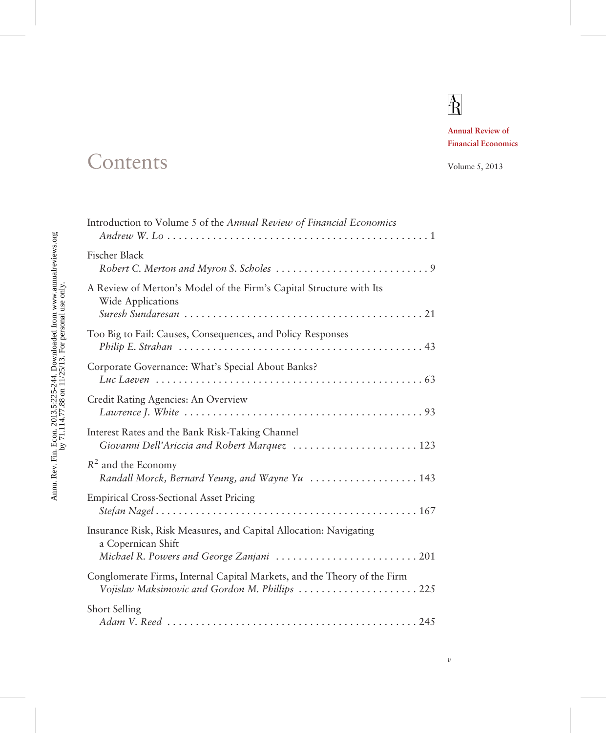# $\overline{\textbf{R}}$

 $\boldsymbol{\nu}$ 

Annual Review of Financial Economics

## Contents Volume 5, 2013

| Introduction to Volume 5 of the Annual Review of Financial Economics                                                        |
|-----------------------------------------------------------------------------------------------------------------------------|
| Fischer Black                                                                                                               |
| A Review of Merton's Model of the Firm's Capital Structure with Its<br>Wide Applications                                    |
| Too Big to Fail: Causes, Consequences, and Policy Responses                                                                 |
| Corporate Governance: What's Special About Banks?                                                                           |
| Credit Rating Agencies: An Overview                                                                                         |
| Interest Rates and the Bank Risk-Taking Channel<br>Giovanni Dell'Ariccia and Robert Marquez  123                            |
| $R^2$ and the Economy<br>Randall Morck, Bernard Yeung, and Wayne Yu  143                                                    |
| <b>Empirical Cross-Sectional Asset Pricing</b>                                                                              |
| Insurance Risk, Risk Measures, and Capital Allocation: Navigating<br>a Copernican Shift                                     |
| Conglomerate Firms, Internal Capital Markets, and the Theory of the Firm<br>Vojislav Maksimovic and Gordon M. Phillips  225 |
| Short Selling                                                                                                               |